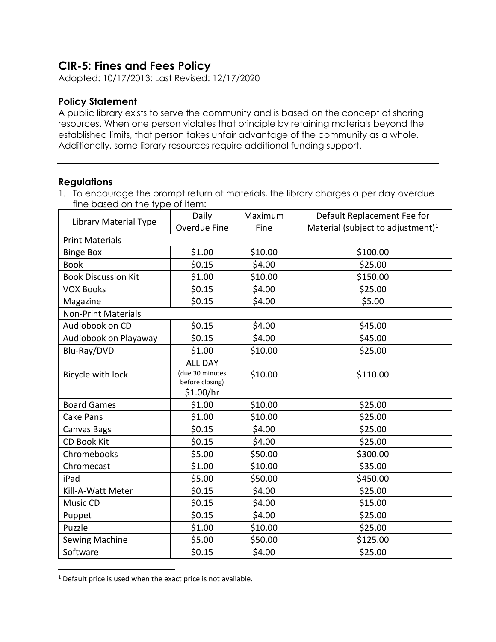## **CIR-5: Fines and Fees Policy**

Adopted: 10/17/2013; Last Revised: 12/17/2020

## **Policy Statement**

A public library exists to serve the community and is based on the concept of sharing resources. When one person violates that principle by retaining materials beyond the established limits, that person takes unfair advantage of the community as a whole. Additionally, some library resources require additional funding support.

## **Regulations**

1. To encourage the prompt return of materials, the library charges a per day overdue fine based on the type of item:

| Library Material Type      | Daily                                                             | Maximum | Default Replacement Fee for                   |  |  |  |
|----------------------------|-------------------------------------------------------------------|---------|-----------------------------------------------|--|--|--|
|                            | Overdue Fine                                                      | Fine    | Material (subject to adjustment) <sup>1</sup> |  |  |  |
| <b>Print Materials</b>     |                                                                   |         |                                               |  |  |  |
| <b>Binge Box</b>           | \$1.00                                                            | \$10.00 | \$100.00                                      |  |  |  |
| <b>Book</b>                | \$0.15                                                            | \$4.00  | \$25.00                                       |  |  |  |
| <b>Book Discussion Kit</b> | \$1.00                                                            | \$10.00 | \$150.00                                      |  |  |  |
| <b>VOX Books</b>           | \$0.15                                                            | \$4.00  | \$25.00                                       |  |  |  |
| Magazine                   | \$0.15                                                            | \$4.00  | \$5.00                                        |  |  |  |
| <b>Non-Print Materials</b> |                                                                   |         |                                               |  |  |  |
| Audiobook on CD            | \$0.15                                                            | \$4.00  | \$45.00                                       |  |  |  |
| Audiobook on Playaway      | \$0.15                                                            | \$4.00  | \$45.00                                       |  |  |  |
| Blu-Ray/DVD                | \$1.00                                                            | \$10.00 | \$25.00                                       |  |  |  |
| Bicycle with lock          | <b>ALL DAY</b><br>(due 30 minutes<br>before closing)<br>\$1.00/hr | \$10.00 | \$110.00                                      |  |  |  |
| <b>Board Games</b>         | \$1.00                                                            | \$10.00 | \$25.00                                       |  |  |  |
| Cake Pans                  | \$1.00                                                            | \$10.00 | \$25.00                                       |  |  |  |
| Canvas Bags                | \$0.15                                                            | \$4.00  | \$25.00                                       |  |  |  |
| <b>CD Book Kit</b>         | \$0.15                                                            | \$4.00  | \$25.00                                       |  |  |  |
| Chromebooks                | \$5.00                                                            | \$50.00 | \$300.00                                      |  |  |  |
| Chromecast                 | \$1.00                                                            | \$10.00 | \$35.00                                       |  |  |  |
| iPad                       | \$5.00                                                            | \$50.00 | \$450.00                                      |  |  |  |
| Kill-A-Watt Meter          | \$0.15                                                            | \$4.00  | \$25.00                                       |  |  |  |
| Music CD                   | \$0.15                                                            | \$4.00  | \$15.00                                       |  |  |  |
| Puppet                     | \$0.15                                                            | \$4.00  | \$25.00                                       |  |  |  |
| Puzzle                     | \$1.00                                                            | \$10.00 | \$25.00                                       |  |  |  |
| Sewing Machine             | \$5.00                                                            | \$50.00 | \$125.00                                      |  |  |  |
| Software                   | \$0.15                                                            | \$4.00  | \$25.00                                       |  |  |  |

<sup>&</sup>lt;sup>1</sup> Default price is used when the exact price is not available.

 $\overline{\phantom{a}}$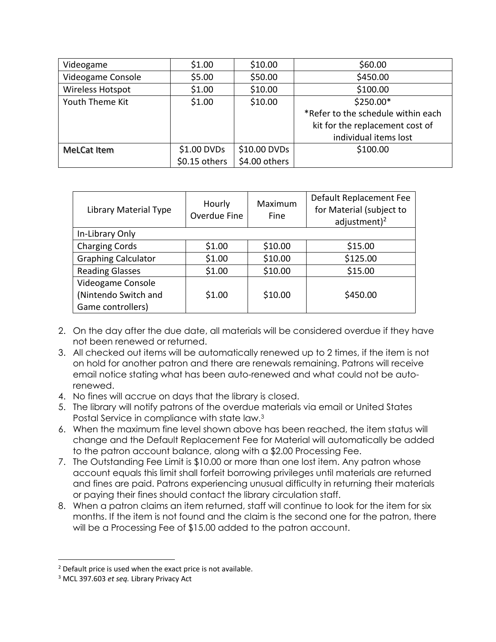| Videogame         | \$1.00        | \$10.00       | \$60.00                            |
|-------------------|---------------|---------------|------------------------------------|
| Videogame Console | \$5.00        | \$50.00       | \$450.00                           |
| Wireless Hotspot  | \$1.00        | \$10.00       | \$100.00                           |
| Youth Theme Kit   | \$1.00        | \$10.00       | \$250.00*                          |
|                   |               |               | *Refer to the schedule within each |
|                   |               |               | kit for the replacement cost of    |
|                   |               |               | individual items lost              |
| MeLCat Item       | \$1.00 DVDs   | \$10.00 DVDs  | \$100.00                           |
|                   | \$0.15 others | \$4.00 others |                                    |

| Library Material Type      | Hourly<br>Overdue Fine | Maximum<br><b>Fine</b> | Default Replacement Fee<br>for Material (subject to<br>adjustment) $^2$ |
|----------------------------|------------------------|------------------------|-------------------------------------------------------------------------|
| In-Library Only            |                        |                        |                                                                         |
| <b>Charging Cords</b>      | \$1.00                 | \$10.00                | \$15.00                                                                 |
| <b>Graphing Calculator</b> | \$1.00                 | \$10.00                | \$125.00                                                                |
| <b>Reading Glasses</b>     | \$1.00                 | \$10.00                | \$15.00                                                                 |
| Videogame Console          |                        |                        |                                                                         |
| (Nintendo Switch and       | \$1.00                 | \$10.00                | \$450.00                                                                |
| Game controllers)          |                        |                        |                                                                         |

- 2. On the day after the due date, all materials will be considered overdue if they have not been renewed or returned.
- 3. All checked out items will be automatically renewed up to 2 times, if the item is not on hold for another patron and there are renewals remaining. Patrons will receive email notice stating what has been auto-renewed and what could not be autorenewed.
- 4. No fines will accrue on days that the library is closed.
- 5. The library will notify patrons of the overdue materials via email or United States Postal Service in compliance with state law.<sup>3</sup>
- 6. When the maximum fine level shown above has been reached, the item status will change and the Default Replacement Fee for Material will automatically be added to the patron account balance, along with a \$2.00 Processing Fee.
- 7. The Outstanding Fee Limit is \$10.00 or more than one lost item. Any patron whose account equals this limit shall forfeit borrowing privileges until materials are returned and fines are paid. Patrons experiencing unusual difficulty in returning their materials or paying their fines should contact the library circulation staff.
- 8. When a patron claims an item returned, staff will continue to look for the item for six months. If the item is not found and the claim is the second one for the patron, there will be a Processing Fee of \$15.00 added to the patron account.

 $\overline{\phantom{a}}$ 

 $2$  Default price is used when the exact price is not available.

<sup>3</sup> MCL 397.603 *et seq.* Library Privacy Act